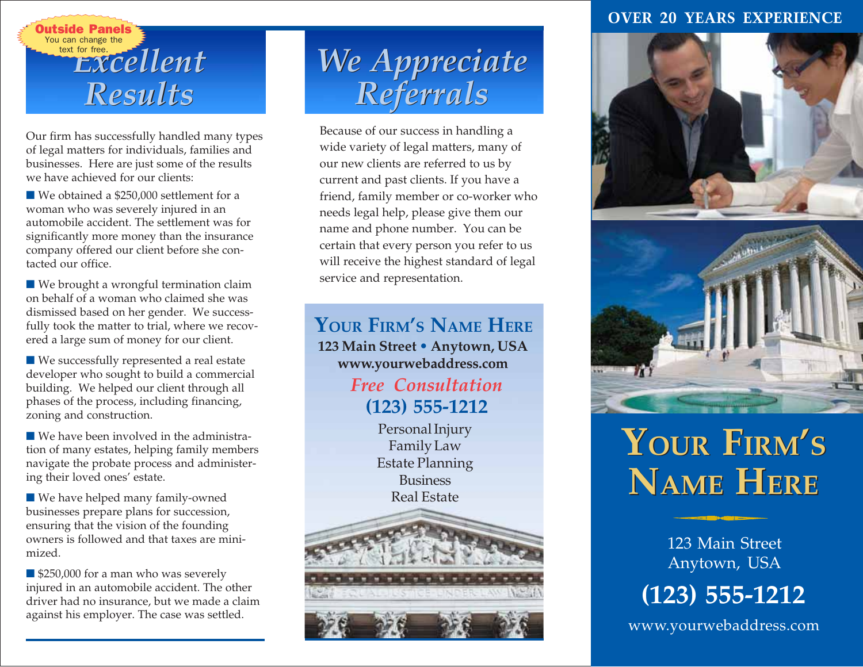

Our firm has successfully handled many types of legal matters for individuals, families and businesses. Here are just some of the results we have achieved for our clients:

■ We obtained a \$250,000 settlement for a woman who was severely injured in an automobile accident. The settlement was for significantly more money than the insurance company offered our client before she contacted our office.

■ We brought a wrongful termination claim on behalf of a woman who claimed she was dismissed based on her gender. We successfully took the matter to trial, where we recovered a large sum of money for our client.

■ We successfully represented a real estate developer who sought to build a commercial building. We helped our client through all phases of the process, including financing, zoning and construction.

■ We have been involved in the administration of many estates, helping family members navigate the probate process and administering their loved ones' estate.

■ We have helped many family-owned businesses prepare plans for succession, ensuring that the vision of the founding owners is followed and that taxes are minimized.

■ \$250,000 for a man who was severely injured in an automobile accident. The other driver had no insurance, but we made a claim against his employer. The case was settled.

# *We Appreciate rou can change the EXCellent*<br> *Results* Referrals

Because of our success in handling a wide variety of legal matters, many of our new clients are referred to us by current and past clients. If you have a friend, family member or co-worker who needs legal help, please give them our name and phone number. You can be certain that every person you refer to us will receive the highest standard of legal service and representation.

**YOUR FIRM'S NAME HERE 123 Main Street • Anytown, USA 123 Main Street • Anytown, USA www.yourwebaddress.com YOUR FIRM'S NAME HERE**

*Free Consultation Free Consultation* **(123) 555-1212 (123) 555-1212**

**Personal Injury** *Personal Injury* **Extending Planning Planning Planning Planning Planning Planning Planning Planning Planning Planning Planning P** Estate Planning **Business** Real Estate



#### **OVER 20 YEARS EXPERIENCE**



# **YOUR FIRM'S YOUR FIRM'S NAME HERE NAME HERE**

123 Main Street Anytown, USA



www.yourwebaddress.com